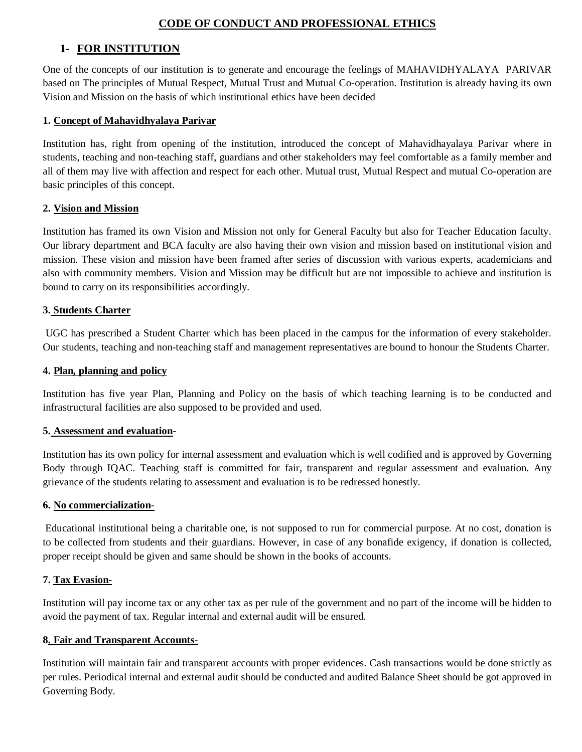# **CODE OF CONDUCT AND PROFESSIONAL ETHICS**

# **1- FOR INSTITUTION**

One of the concepts of our institution is to generate and encourage the feelings of MAHAVIDHYALAYA PARIVAR based on The principles of Mutual Respect, Mutual Trust and Mutual Co-operation. Institution is already having its own Vision and Mission on the basis of which institutional ethics have been decided

#### **1. Concept of Mahavidhyalaya Parivar**

Institution has, right from opening of the institution, introduced the concept of Mahavidhayalaya Parivar where in students, teaching and non-teaching staff, guardians and other stakeholders may feel comfortable as a family member and all of them may live with affection and respect for each other. Mutual trust, Mutual Respect and mutual Co-operation are basic principles of this concept.

#### **2. Vision and Mission**

Institution has framed its own Vision and Mission not only for General Faculty but also for Teacher Education faculty. Our library department and BCA faculty are also having their own vision and mission based on institutional vision and mission. These vision and mission have been framed after series of discussion with various experts, academicians and also with community members. Vision and Mission may be difficult but are not impossible to achieve and institution is bound to carry on its responsibilities accordingly.

#### **3. Students Charter**

UGC has prescribed a Student Charter which has been placed in the campus for the information of every stakeholder. Our students, teaching and non-teaching staff and management representatives are bound to honour the Students Charter.

#### **4. Plan, planning and policy**

Institution has five year Plan, Planning and Policy on the basis of which teaching learning is to be conducted and infrastructural facilities are also supposed to be provided and used.

#### **5. Assessment and evaluation-**

Institution has its own policy for internal assessment and evaluation which is well codified and is approved by Governing Body through IQAC. Teaching staff is committed for fair, transparent and regular assessment and evaluation. Any grievance of the students relating to assessment and evaluation is to be redressed honestly.

#### **6. No commercialization**-

Educational institutional being a charitable one, is not supposed to run for commercial purpose. At no cost, donation is to be collected from students and their guardians. However, in case of any bonafide exigency, if donation is collected, proper receipt should be given and same should be shown in the books of accounts.

### **7. Tax Evasion-**

Institution will pay income tax or any other tax as per rule of the government and no part of the income will be hidden to avoid the payment of tax. Regular internal and external audit will be ensured.

#### **8. Fair and Transparent Accounts**-

Institution will maintain fair and transparent accounts with proper evidences. Cash transactions would be done strictly as per rules. Periodical internal and external audit should be conducted and audited Balance Sheet should be got approved in Governing Body.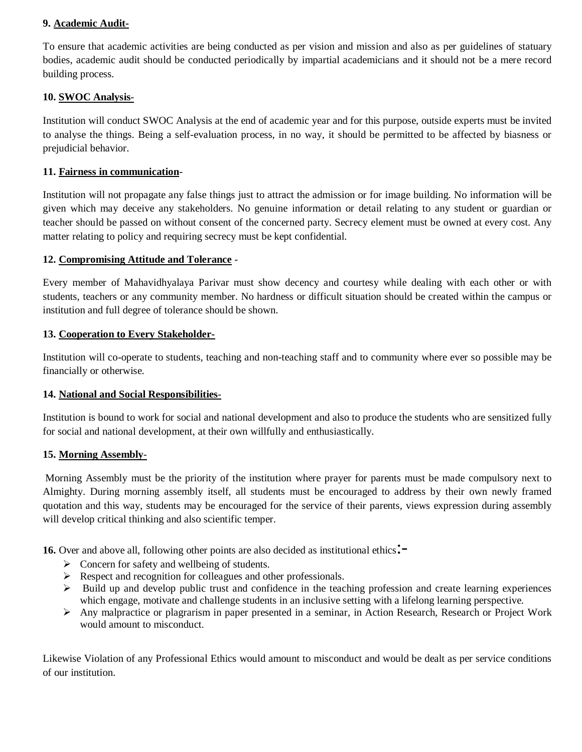# **9. Academic Audit-**

To ensure that academic activities are being conducted as per vision and mission and also as per guidelines of statuary bodies, academic audit should be conducted periodically by impartial academicians and it should not be a mere record building process.

# **10. SWOC Analysis**-

Institution will conduct SWOC Analysis at the end of academic year and for this purpose, outside experts must be invited to analyse the things. Being a self-evaluation process, in no way, it should be permitted to be affected by biasness or prejudicial behavior.

# **11. Fairness in communication**-

Institution will not propagate any false things just to attract the admission or for image building. No information will be given which may deceive any stakeholders. No genuine information or detail relating to any student or guardian or teacher should be passed on without consent of the concerned party. Secrecy element must be owned at every cost. Any matter relating to policy and requiring secrecy must be kept confidential.

### **12. Compromising Attitude and Tolerance** -

Every member of Mahavidhyalaya Parivar must show decency and courtesy while dealing with each other or with students, teachers or any community member. No hardness or difficult situation should be created within the campus or institution and full degree of tolerance should be shown.

### **13. Cooperation to Every Stakeholder-**

Institution will co-operate to students, teaching and non-teaching staff and to community where ever so possible may be financially or otherwise.

### **14. National and Social Responsibilities**-

Institution is bound to work for social and national development and also to produce the students who are sensitized fully for social and national development, at their own willfully and enthusiastically.

### **15. Morning Assembly**-

Morning Assembly must be the priority of the institution where prayer for parents must be made compulsory next to Almighty. During morning assembly itself, all students must be encouraged to address by their own newly framed quotation and this way, students may be encouraged for the service of their parents, views expression during assembly will develop critical thinking and also scientific temper.

**16.** Over and above all, following other points are also decided as institutional ethics.

- $\triangleright$  Concern for safety and wellbeing of students.
- $\triangleright$  Respect and recognition for colleagues and other professionals.
- $\triangleright$  Build up and develop public trust and confidence in the teaching profession and create learning experiences which engage, motivate and challenge students in an inclusive setting with a lifelong learning perspective.
- Any malpractice or plagrarism in paper presented in a seminar, in Action Research, Research or Project Work would amount to misconduct.

Likewise Violation of any Professional Ethics would amount to misconduct and would be dealt as per service conditions of our institution.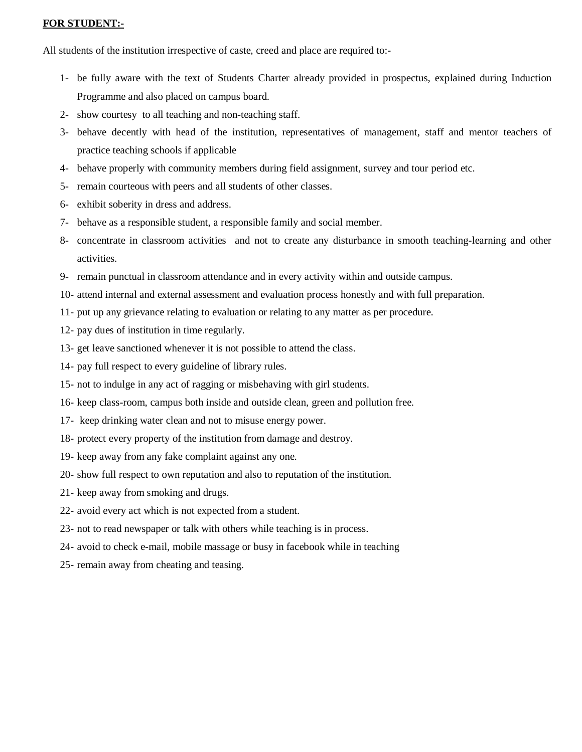#### **FOR STUDENT:-**

All students of the institution irrespective of caste, creed and place are required to:-

- 1- be fully aware with the text of Students Charter already provided in prospectus, explained during Induction Programme and also placed on campus board.
- 2- show courtesy to all teaching and non-teaching staff.
- 3- behave decently with head of the institution, representatives of management, staff and mentor teachers of practice teaching schools if applicable
- 4- behave properly with community members during field assignment, survey and tour period etc.
- 5- remain courteous with peers and all students of other classes.
- 6- exhibit soberity in dress and address.
- 7- behave as a responsible student, a responsible family and social member.
- 8- concentrate in classroom activities and not to create any disturbance in smooth teaching-learning and other activities.
- 9- remain punctual in classroom attendance and in every activity within and outside campus.
- 10- attend internal and external assessment and evaluation process honestly and with full preparation.
- 11- put up any grievance relating to evaluation or relating to any matter as per procedure.
- 12- pay dues of institution in time regularly.
- 13- get leave sanctioned whenever it is not possible to attend the class.
- 14- pay full respect to every guideline of library rules.
- 15- not to indulge in any act of ragging or misbehaving with girl students.
- 16- keep class-room, campus both inside and outside clean, green and pollution free.
- 17- keep drinking water clean and not to misuse energy power.
- 18- protect every property of the institution from damage and destroy.
- 19- keep away from any fake complaint against any one.
- 20- show full respect to own reputation and also to reputation of the institution.
- 21- keep away from smoking and drugs.
- 22- avoid every act which is not expected from a student.
- 23- not to read newspaper or talk with others while teaching is in process.
- 24- avoid to check e-mail, mobile massage or busy in facebook while in teaching
- 25- remain away from cheating and teasing.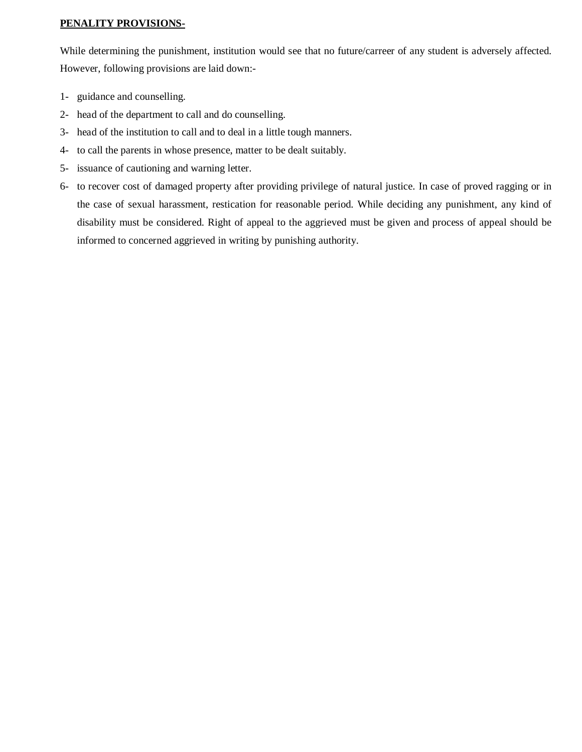# **PENALITY PROVISIONS-**

While determining the punishment, institution would see that no future/carreer of any student is adversely affected. However, following provisions are laid down:-

- 1- guidance and counselling.
- 2- head of the department to call and do counselling.
- 3- head of the institution to call and to deal in a little tough manners.
- 4- to call the parents in whose presence, matter to be dealt suitably.
- 5- issuance of cautioning and warning letter.
- 6- to recover cost of damaged property after providing privilege of natural justice. In case of proved ragging or in the case of sexual harassment, restication for reasonable period. While deciding any punishment, any kind of disability must be considered. Right of appeal to the aggrieved must be given and process of appeal should be informed to concerned aggrieved in writing by punishing authority.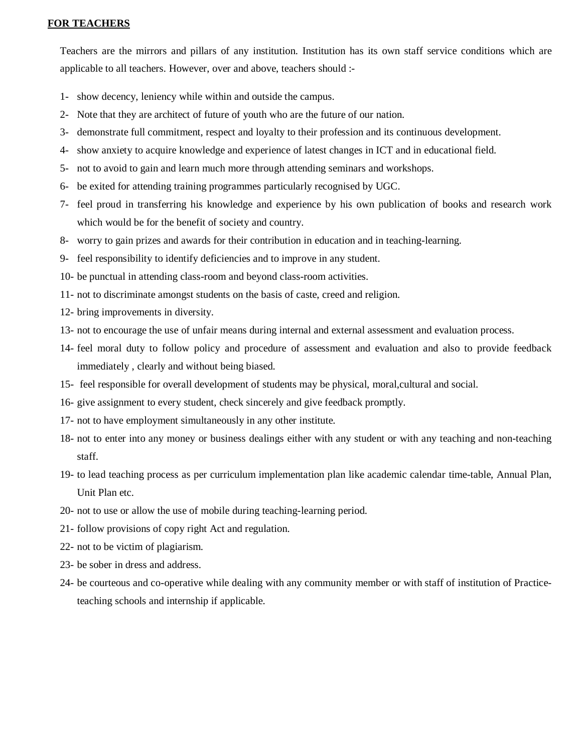# **FOR TEACHERS**

Teachers are the mirrors and pillars of any institution. Institution has its own staff service conditions which are applicable to all teachers. However, over and above, teachers should :-

- 1- show decency, leniency while within and outside the campus.
- 2- Note that they are architect of future of youth who are the future of our nation.
- 3- demonstrate full commitment, respect and loyalty to their profession and its continuous development.
- 4- show anxiety to acquire knowledge and experience of latest changes in ICT and in educational field.
- 5- not to avoid to gain and learn much more through attending seminars and workshops.
- 6- be exited for attending training programmes particularly recognised by UGC.
- 7- feel proud in transferring his knowledge and experience by his own publication of books and research work which would be for the benefit of society and country.
- 8- worry to gain prizes and awards for their contribution in education and in teaching-learning.
- 9- feel responsibility to identify deficiencies and to improve in any student.
- 10- be punctual in attending class-room and beyond class-room activities.
- 11- not to discriminate amongst students on the basis of caste, creed and religion.
- 12- bring improvements in diversity.
- 13- not to encourage the use of unfair means during internal and external assessment and evaluation process.
- 14- feel moral duty to follow policy and procedure of assessment and evaluation and also to provide feedback immediately , clearly and without being biased.
- 15- feel responsible for overall development of students may be physical, moral,cultural and social.
- 16- give assignment to every student, check sincerely and give feedback promptly.
- 17- not to have employment simultaneously in any other institute.
- 18- not to enter into any money or business dealings either with any student or with any teaching and non-teaching staff.
- 19- to lead teaching process as per curriculum implementation plan like academic calendar time-table, Annual Plan, Unit Plan etc.
- 20- not to use or allow the use of mobile during teaching-learning period.
- 21- follow provisions of copy right Act and regulation.
- 22- not to be victim of plagiarism.
- 23- be sober in dress and address.
- 24- be courteous and co-operative while dealing with any community member or with staff of institution of Practiceteaching schools and internship if applicable.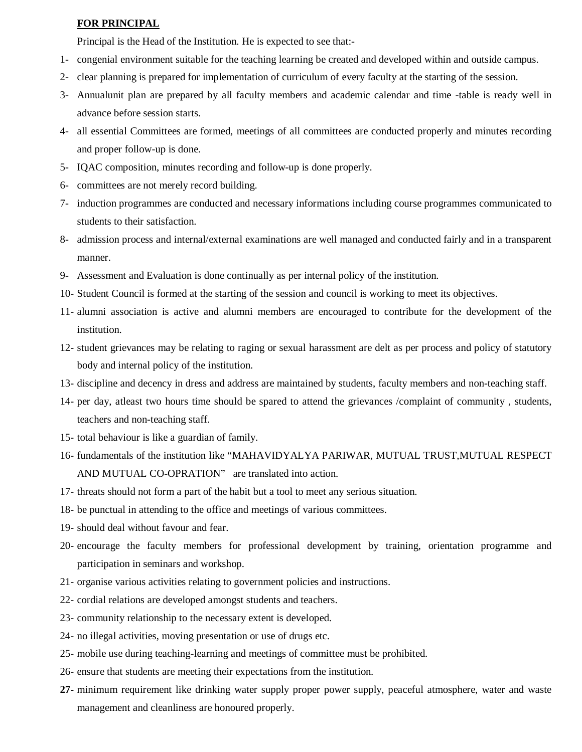#### **FOR PRINCIPAL**

Principal is the Head of the Institution. He is expected to see that:-

- 1- congenial environment suitable for the teaching learning be created and developed within and outside campus.
- 2- clear planning is prepared for implementation of curriculum of every faculty at the starting of the session.
- 3- Annualunit plan are prepared by all faculty members and academic calendar and time -table is ready well in advance before session starts.
- 4- all essential Committees are formed, meetings of all committees are conducted properly and minutes recording and proper follow-up is done.
- 5- IQAC composition, minutes recording and follow-up is done properly.
- 6- committees are not merely record building.
- 7- induction programmes are conducted and necessary informations including course programmes communicated to students to their satisfaction.
- 8- admission process and internal/external examinations are well managed and conducted fairly and in a transparent manner.
- 9- Assessment and Evaluation is done continually as per internal policy of the institution.
- 10- Student Council is formed at the starting of the session and council is working to meet its objectives.
- 11- alumni association is active and alumni members are encouraged to contribute for the development of the institution.
- 12- student grievances may be relating to raging or sexual harassment are delt as per process and policy of statutory body and internal policy of the institution.
- 13- discipline and decency in dress and address are maintained by students, faculty members and non-teaching staff.
- 14- per day, atleast two hours time should be spared to attend the grievances /complaint of community , students, teachers and non-teaching staff.
- 15- total behaviour is like a guardian of family.
- 16- fundamentals of the institution like "MAHAVIDYALYA PARIWAR, MUTUAL TRUST,MUTUAL RESPECT AND MUTUAL CO-OPRATION" are translated into action.
- 17- threats should not form a part of the habit but a tool to meet any serious situation.
- 18- be punctual in attending to the office and meetings of various committees.
- 19- should deal without favour and fear.
- 20- encourage the faculty members for professional development by training, orientation programme and participation in seminars and workshop.
- 21- organise various activities relating to government policies and instructions.
- 22- cordial relations are developed amongst students and teachers.
- 23- community relationship to the necessary extent is developed.
- 24- no illegal activities, moving presentation or use of drugs etc.
- 25- mobile use during teaching-learning and meetings of committee must be prohibited.
- 26- ensure that students are meeting their expectations from the institution.
- **27-** minimum requirement like drinking water supply proper power supply, peaceful atmosphere, water and waste management and cleanliness are honoured properly.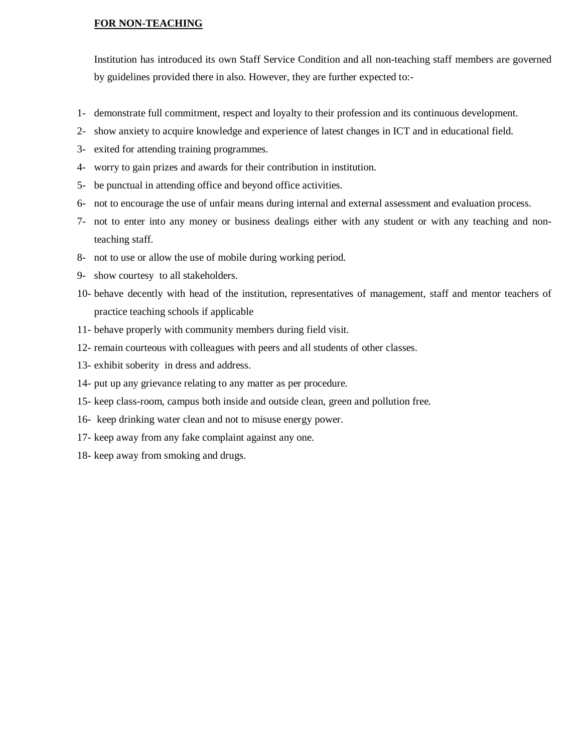#### **FOR NON-TEACHING**

Institution has introduced its own Staff Service Condition and all non-teaching staff members are governed by guidelines provided there in also. However, they are further expected to:-

- 1- demonstrate full commitment, respect and loyalty to their profession and its continuous development.
- 2- show anxiety to acquire knowledge and experience of latest changes in ICT and in educational field.
- 3- exited for attending training programmes.
- 4- worry to gain prizes and awards for their contribution in institution.
- 5- be punctual in attending office and beyond office activities.
- 6- not to encourage the use of unfair means during internal and external assessment and evaluation process.
- 7- not to enter into any money or business dealings either with any student or with any teaching and nonteaching staff.
- 8- not to use or allow the use of mobile during working period.
- 9- show courtesy to all stakeholders.
- 10- behave decently with head of the institution, representatives of management, staff and mentor teachers of practice teaching schools if applicable
- 11- behave properly with community members during field visit.
- 12- remain courteous with colleagues with peers and all students of other classes.
- 13- exhibit soberity in dress and address.
- 14- put up any grievance relating to any matter as per procedure.
- 15- keep class-room, campus both inside and outside clean, green and pollution free.
- 16- keep drinking water clean and not to misuse energy power.
- 17- keep away from any fake complaint against any one.
- 18- keep away from smoking and drugs.